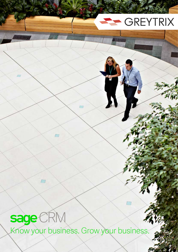# GREYTRIX

sage CRM

 $\sqrt{ }$ 

Know your business. Grow your business.

 $\overline{1}$ 

 $\sqrt{2}$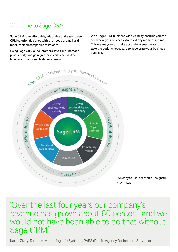## Welcome to Sage CRM

Sage CRM is an affordable, adaptable and easy to use CRM solution designed with the needs of small and medium sized companies at its core.

Using Sage CRM our customers save time, increase productivity and gain greater visibility across the business for actionable decision making.

With Sage CRM, business wide visibility ensures you can see where your business stands at any moment in time. This means you can make accurate assessments and take the actions necessary to accelerate your business success.

> > An easy to use, adaptable, insightful CRM Solution.

'Over the last four years our company's revenue has grown about 60 percent and we would not have been able to do that without Sage CRM'

Karen Zfaty, Director, Marketing Info Systems, PARS (Public Agency Retirement Services)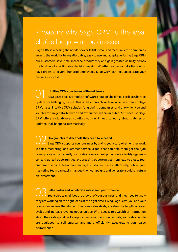# 7 reasons why Sage CRM is the ideal choice for growing businesses

Sage CRM is meeting the needs of over 15,000 small and medium sized companies around the world by being affordable, easy to use and adaptable. Using Sage CRM our customers save time, increase productivity and gain greater visibility across the business for actionable decision making. Whether you're just starting out or have grown to several hundred employees, Sage CRM can help accelerate your business success.

#### **Intuitive CRM your teams will want to use**

At Sage, we believe modern software shouldn't be difficult to learn, hard to update or challenging to use. This is the approach we took when we created Sage CRM. It's an intuitive CRM solution for growing companies, and one which you and your team can get started with and experience within minutes. And because Sage CRM offers a cloud-based solution, you don't need to worry about patches or updates; it all happens automatically. 01

#### **Give your teams the tools they need to succeed**

Sage CRM supports your business by giving your staff, whether they work in sales, marketing, or customer service, a tool that can help them get their job done quickly and efficiently. Your sales team can sell proactively, identifying crosssell and up-sell opportunities, progressing opportunities from lead to close. Your customer service team can manage customer cases effectively, while your marketing team can easily manage their campaigns and generate a quicker return on investment. 02

#### **Sell smarter and accelerate sales team performance**

Your sales team drives the growth of your business, and they need to know they are working on the right leads at the right time. Using Sage CRM, you and your teams can review the stages of various sales deals, shorten the length of sales cycles and increase revenue opportunities. With access to a wealth of information about their sales pipeline, key opportunities and account activity, your sales people are equipped to sell smarter and more efficiently, accelerating your sales performance. 03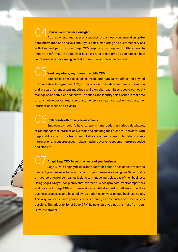#### **Gain valuable business insight** 04

As the owner or manager of a successful business, you depend on up-todate information and analysis about your sales, marketing and customer services activities and performance. Sage CRM supports management with access to important information about their business KPIs in real-time so you can see how your business is performing and take corrective action when needed.

#### **Work anywhere, anytime with mobile CRM** 05

Modern business takes place inside and outside the office and beyond the nine to five. Using mobile CRM, you can access up-to-date customer information and prepare for important meetings while on the road. Sales people can easily manage sales activities and follow-up actions and identify sales issues in real-time on any mobile device. And, your customer service team can act on key customer information while on site visits.

#### **Collaborate effectively across teams** 06

Employees shouldn't have to spend time updating various databases, stitching together information systems and ensuring their files are up to date. With Sage CRM, you and your team can collaborate on and share up to date business information and put processes in place that help everyone become more productive and efficient.

#### **Adapt Sage CRM to suit the needs of your business**

Sage CRM is a highly flexible and adaptable solution designed to meet the needs of your business today and adapt to your business as you grow. Sage CRM is an ideal solution for companies looking to manage multiple areas of their business. Using Sage CRM you can plan events, oversee business projects, track competitors and more. With Sage CRM you can easily establish standard workflows around key business processes and base follow-up activities on your unique business needs. This way, you can ensure your business is running as efficiently and effectively as possible. The adaptability of Sage CRM helps ensure you get the most from your CRM investment. 07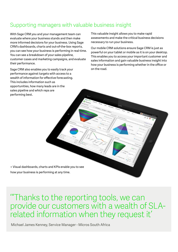### Supporting managers with valuable business insight

With Sage CRM you and your management team can evaluate where your business stands and then make more informed decisions for your business. Using Sage CRM's dashboards, charts and out-of-the-box reports, you can see how your business is performing in real-time. You can see a breakdown of your sales pipeline, customer cases and marketing campaigns, and evaluate their performance.

Sage CRM also enables you to easily track your performance against targets with access to a wealth of information for effective forecasting. This includes information such as opportunities, how many leads are in the sales pipeline and which reps are performing best.

This valuable insight allows you to make rapid assessments and make the critical business decisions necessary to run your business.

Our mobile CRM solutions ensure Sage CRM is just as powerful on your tablet or mobile as it is on your desktop. This enables you to access your important customer and sales information and gain valuable business insight into how your business is performing whether in the office or on the road.

> Visual dashboards, charts and KPIs enable you to see how your business is performing at any time.

'"Thanks to the reporting tools, we can provide our customers with a wealth of SLArelated information when they request it'

Michael James Kenney, Service Manager - Micros South Africa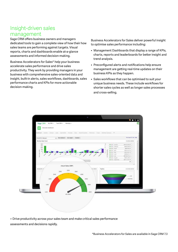#### Insight-driven sales management

Sage CRM offers business owners and managers dedicated tools to gain a complete view of how their how sales teams are performing against targets. Visual reports, charts and dashboards enable at-a-glance assessments and informed decision-making.

Business Accelerators for Sales\* help your business accelerate sales performance and drive sales productivity. They work by providing managers in your business with comprehensive sales-oriented data and insight, built-in alerts, sales workflows, dashboards, sales performance charts and KPIs for more actionable decision-making.

Business Accelerators for Sales deliver powerful insight to optimise sales performance including:

- Management Dashboards that display a range of KPIs, charts, reports and leaderboards for better insight and trend analysis.
- Preconfigured alerts and notifications help ensure management are getting real-time updates on their business KPIs as they happen.
- Sales workflows that can be optimised to suit your unique business needs. These include workflows for shorter sales cycles as well as longer sales processes and cross-selling.



> Drive productivity across your sales team and make critical sales performance assessments and decisions rapidly.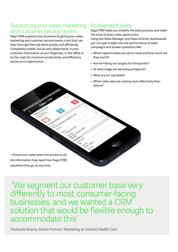#### Supporting your sales, marketing and customer service teams

Sage CRM supports your business by giving your sales, marketing and customer service teams a tool that can help them get their job done quickly and efficiently. Completely mobile, social and collaborative, it puts customer information at your fingertips, in the office or on the road, for maximum productivity and efficiency across your organisation.

## Accelerated sales

Sage CRM helps you simplify the sales process and make the most of every sales opportunity. Using the Sales Manager and Sales Director dashboards, you can gain insight into the performance of sales campaigns and answer questions like:

- Which opportunities are set to close and how much are they worth?
- Are we hitting our targets for the quarter?
- At what stage are we losing prospects?
- What are our top deals?
- Which sales reps are closing more effectively than others?

> Ensure your sales team has access to all the information they need from Sage CRM, anywhere they go, at any time.

 'We segment our customer base very differently to most consumer-facing businesses, and we wanted a CRM solution that would be flexible enough to accommodate this'

Thokozile Nzama, Senior Partner: Marketing at Umsinsi Health Care

S BB MIN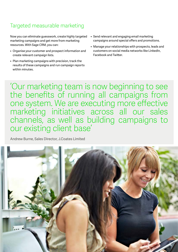# Targeted measurable marketing

Now you can eliminate guesswork, create highly targeted marketing campaigns and get more from marketing resources. With Sage CRM, you can:

- Organise your customer and prospect information and create relevant campaign lists.
- Plan marketing campaigns with precision, track the results of these campaigns and run campaign reports within minutes.
- Send relevant and engaging email marketing campaigns around special offers and promotions.
- Manage your relationships with prospects, leads and customers on social media networks like LinkedIn, Facebook and Twitter.

'Our marketing team is now beginning to see the benefits of running all campaigns from one system. We are executing more effective marketing initiatives across all our sales channels, as well as building campaigns to our existing client base'

Andrew Burne, Sales Director, J.Coates Limited

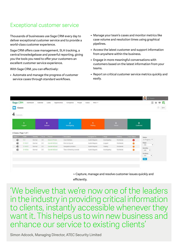### Exceptional customer service

Thousands of businesses use Sage CRM every day to deliver exceptional customer service and to provide a world-class customer experience.

Sage CRM offers case management, SLA tracking, a central knowledgebase and powerful reporting, giving you the tools you need to offer your customers an excellent customer service experience.

With Sage CRM, you can effectively:

• Automate and manage the progress of customer service cases through standard workflows.

- Manage your team's cases and monitor metrics like case volume and resolution times using graphical pipelines.
- Access the latest customer and support information from anywhere within the business.
- Engage in more meaningful conversations with customers based on the latest information from your teams.
- Report on critical customer service metrics quickly and easily.

| Sage CRM              | Dashboard            |         | Calendar           | Leads.<br>Opportunities | Companies<br>People             | More ~<br>Cases |               |                    |            | 讍<br>厚<br>青<br>New    |  |
|-----------------------|----------------------|---------|--------------------|-------------------------|---------------------------------|-----------------|---------------|--------------------|------------|-----------------------|--|
| Cases                 |                      |         |                    |                         |                                 |                 |               |                    |            | Ø                     |  |
| 4<br>Cases            |                      |         |                    |                         |                                 |                 |               |                    |            |                       |  |
| 1<br>Logged           |                      |         | $\bf{0}$<br>Queued |                         | $\overline{2}$<br>Investigating | ٠<br>Waiting    |               | $\Omega$<br>Solved |            | 0<br>Confirmed        |  |
|                       | 4 Cases, Page 1 of 1 |         |                    |                         |                                 |                 |               |                    |            |                       |  |
| Status *              | Refd-                | Seventy | Fix in             | Person                  | <b>Description</b>              | Assigned To     | <b>Stage</b>  | Tentory            | SLA Status | Status:               |  |
| $\boldsymbol{\Theta}$ | 52                   | Normal  | 30 <sup>2</sup>    | Kieran O'Toole          | User interface                  | Austin Maguire. | investigating | Worldwide          | $\bullet$  | In Progress .         |  |
| $\circledast$         | 5-10031              | Normal  | 20                 | Gameth McDaid           | Error on log out                | Austin Maguire  | Logged        | Worldwide          | ۰          | Stage:<br>$-AB-$<br>٠ |  |
| $\boldsymbol{\Theta}$ | 5-10033              | Normal  | $2.0^{\circ}$      | Gärreth MilDald         | Navigation problem              | Austin Maguire  | Walting       | Worldwide          | $\bullet$  | Seventy:              |  |
| $\boldsymbol{\Theta}$ | 5-10034              | Normal  | $20 -$             | Gameth McDaid           | Tabs not tabbing correctly      | Austin Maguire  | Investigating | Worldwide          | ۰          | $-AB-$<br>٠           |  |
|                       |                      |         |                    |                         |                                 |                 |               |                    |            | Territory:            |  |
|                       |                      |         |                    |                         |                                 |                 |               |                    |            | $-AB-$<br>۰           |  |
|                       |                      |         |                    |                         |                                 |                 |               |                    |            | Filter                |  |
|                       |                      |         |                    |                         |                                 |                 |               |                    |            |                       |  |
|                       |                      |         |                    |                         |                                 |                 |               |                    |            |                       |  |

> Capture, manage and resolve customer issues quickly and efficiently.

'We believe that we're now one of the leaders in the industry in providing critical information to clients, instantly accessible whenever they want it. This helps us to win new business and enhance our service to existing clients'

Simon Adcock, Managing Director, ATEC Security Limited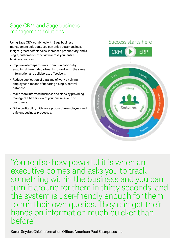### Sage CRM and Sage business management solutions

Using Sage CRM combined with Sage business management solutions, you can enjoy better business insight, greater efficiencies, increased productivity, and a single, customer-centric view across your entire business. You can:

- Improve interdepartmental communications by enabling different departments to work with the same information and collaborate effectively.
- Reduce duplication of data and of work by giving employees a means of updating a single, central database.
- Make more informed business decisions by providing managers a better view of your business and of customers.
- Drive profitability with more productive employees and efficient business processes.

#### Success starts here



'You realise how powerful it is when an executive comes and asks you to track something within the business and you can turn it around for them in thirty seconds, and the system is user-friendly enough for them to run their own queries. They can get their hands on information much quicker than before'

Karen Snyder, Chief Information Officer, American Pool Enterprises Inc.